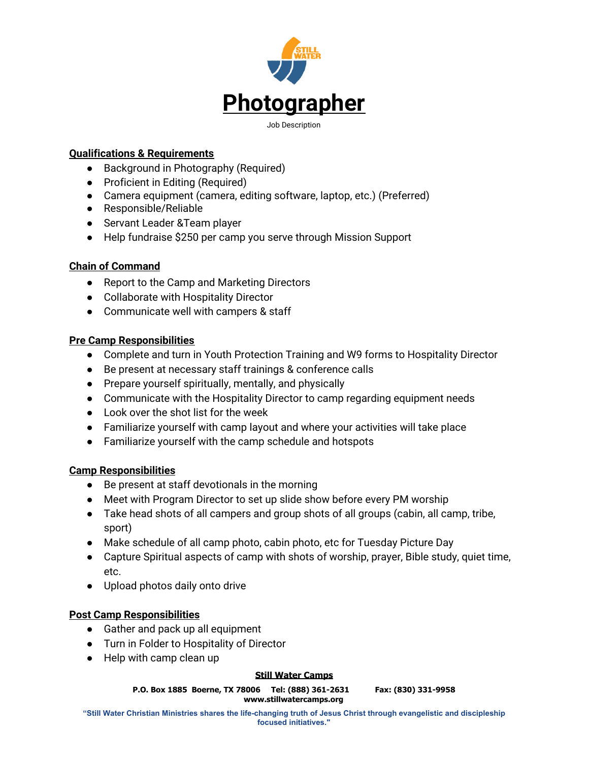

## **Qualifications & Requirements**

- Background in Photography (Required)
- Proficient in Editing (Required)
- Camera equipment (camera, editing software, laptop, etc.) (Preferred)
- Responsible/Reliable
- Servant Leader & Team player
- Help fundraise \$250 per camp you serve through Mission Support

### **Chain of Command**

- Report to the Camp and Marketing Directors
- Collaborate with Hospitality Director
- Communicate well with campers & staff

### **Pre Camp Responsibilities**

- Complete and turn in Youth Protection Training and W9 forms to Hospitality Director
- Be present at necessary staff trainings & conference calls
- Prepare yourself spiritually, mentally, and physically
- Communicate with the Hospitality Director to camp regarding equipment needs
- Look over the shot list for the week
- Familiarize yourself with camp layout and where your activities will take place
- Familiarize yourself with the camp schedule and hotspots

# **Camp Responsibilities**

- Be present at staff devotionals in the morning
- Meet with Program Director to set up slide show before every PM worship
- Take head shots of all campers and group shots of all groups (cabin, all camp, tribe, sport)
- Make schedule of all camp photo, cabin photo, etc for Tuesday Picture Day
- Capture Spiritual aspects of camp with shots of worship, prayer, Bible study, quiet time, etc.
- Upload photos daily onto drive

# **Post Camp Responsibilities**

- Gather and pack up all equipment
- Turn in Folder to Hospitality of Director
- Help with camp clean up

#### **Still Water Camps**

**P.O. Box 1885 Boerne, TX 78006 Tel: (888) 361-2631 Fax: (830) 331-9958 www.stillwatercamps.org**

**"Still Water Christian Ministries shares the life-changing truth of Jesus Christ through evangelistic and discipleship focused initiatives."**